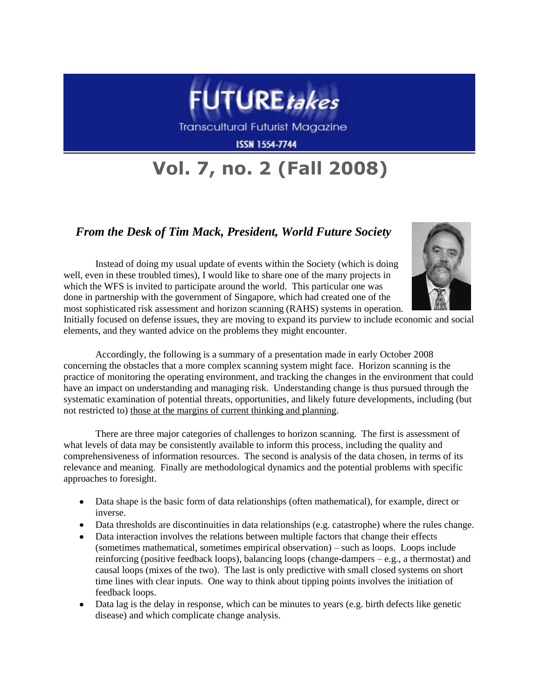

Transcultural Futurist Magazine

**ISSN 1554-7744** 

## **Vol. 7, no. 2 (Fall 2008)**

## *From the Desk of Tim Mack, President, World Future Society*

Instead of doing my usual update of events within the Society (which is doing well, even in these troubled times), I would like to share one of the many projects in which the WFS is invited to participate around the world. This particular one was done in partnership with the government of Singapore, which had created one of the most sophisticated risk assessment and horizon scanning (RAHS) systems in operation.



Initially focused on defense issues, they are moving to expand its purview to include economic and social elements, and they wanted advice on the problems they might encounter.

Accordingly, the following is a summary of a presentation made in early October 2008 concerning the obstacles that a more complex scanning system might face. Horizon scanning is the practice of monitoring the operating environment, and tracking the changes in the environment that could have an impact on understanding and managing risk. Understanding change is thus pursued through the systematic examination of potential threats, opportunities, and likely future developments, including (but not restricted to) those at the margins of current thinking and planning.

There are three major categories of challenges to horizon scanning. The first is assessment of what levels of data may be consistently available to inform this process, including the quality and comprehensiveness of information resources. The second is analysis of the data chosen, in terms of its relevance and meaning. Finally are methodological dynamics and the potential problems with specific approaches to foresight.

- Data shape is the basic form of data relationships (often mathematical), for example, direct or inverse.
- Data thresholds are discontinuities in data relationships (e.g. catastrophe) where the rules change.
- Data interaction involves the relations between multiple factors that change their effects (sometimes mathematical, sometimes empirical observation) – such as loops. Loops include reinforcing (positive feedback loops), balancing loops (change-dampers – e.g., a thermostat) and causal loops (mixes of the two). The last is only predictive with small closed systems on short time lines with clear inputs. One way to think about tipping points involves the initiation of feedback loops.
- Data lag is the delay in response, which can be minutes to years (e.g. birth defects like genetic disease) and which complicate change analysis.